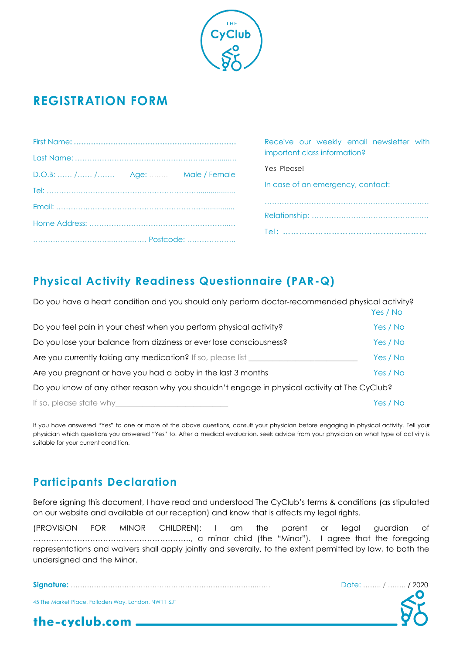

## **REGISTRATION FORM**

|                                | Receive our weekly email newsletter with |
|--------------------------------|------------------------------------------|
|                                | important class information?             |
| D.O.B:  / / Age: Male / Female | Yes Please!                              |
|                                | In case of an emergency, contact:        |
|                                |                                          |
|                                |                                          |
|                                |                                          |

## **Physical Activity Readiness Questionnaire (PAR-Q)**

| Do you have a heart condition and you should only perform doctor-recommended physical activity? | Yes / No |
|-------------------------------------------------------------------------------------------------|----------|
| Do you feel pain in your chest when you perform physical activity?                              | Yes / No |
| Do you lose your balance from dizziness or ever lose consciousness?                             | Yes / No |
| Are you currently taking any medication? If so, please list                                     | Yes / No |
| Are you pregnant or have you had a baby in the last 3 months                                    | Yes / No |
| Do you know of any other reason why you shouldn't engage in physical activity at The CyClub?    |          |
| If so, please state why                                                                         | Yes / No |

If you have answered "Yes" to one or more of the above questions, consult your physician before engaging in physical activity. Tell your physician which questions you answered "Yes" to. After a medical evaluation, seek advice from your physician on what type of activity is suitable for your current condition.

## **Participants Declaration**

Before signing this document, I have read and understood The CyClub's terms & conditions (as stipulated on our website and available at our reception) and know that is affects my legal rights.

(PROVISION FOR MINOR CHILDREN): I am the parent or legal guardian of ……………………………………………………., a minor child (the "Minor"). I agree that the foregoing representations and waivers shall apply jointly and severally, to the extent permitted by law, to both the undersigned and the Minor.

**Signature:** ……………………………………………………………………..…… Date: …….. / ….…. / 2020

45 The Market Place, Falloden Way, London, NW11 6JT